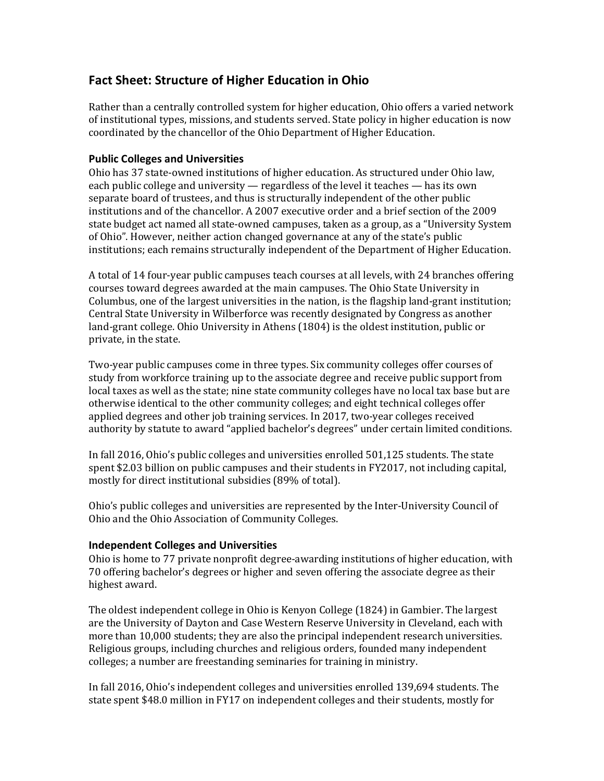# **Fact Sheet: Structure of Higher Education in Ohio**

Rather than a centrally controlled system for higher education, Ohio offers a varied network of institutional types, missions, and students served. State policy in higher education is now coordinated by the chancellor of the Ohio Department of Higher Education.

### **Public Colleges and Universities**

Ohio has 37 state-owned institutions of higher education. As structured under Ohio law, each public college and university — regardless of the level it teaches — has its own separate board of trustees, and thus is structurally independent of the other public institutions and of the chancellor. A 2007 executive order and a brief section of the 2009 state budget act named all state-owned campuses, taken as a group, as a "University System of Ohio". However, neither action changed governance at any of the state's public institutions; each remains structurally independent of the Department of Higher Education.

A total of 14 four-year public campuses teach courses at all levels, with 24 branches offering courses toward degrees awarded at the main campuses. The Ohio State University in Columbus, one of the largest universities in the nation, is the flagship land-grant institution; Central State University in Wilberforce was recently designated by Congress as another land-grant college. Ohio University in Athens (1804) is the oldest institution, public or private, in the state.

Two-year public campuses come in three types. Six community colleges offer courses of study from workforce training up to the associate degree and receive public support from local taxes as well as the state; nine state community colleges have no local tax base but are otherwise identical to the other community colleges; and eight technical colleges offer applied degrees and other job training services. In 2017, two-year colleges received authority by statute to award "applied bachelor's degrees" under certain limited conditions.

In fall 2016, Ohio's public colleges and universities enrolled 501,125 students. The state spent \$2.03 billion on public campuses and their students in FY2017, not including capital, mostly for direct institutional subsidies (89% of total).

Ohio's public colleges and universities are represented by the Inter-University Council of Ohio and the Ohio Association of Community Colleges.

#### **Independent Colleges and Universities**

Ohio is home to 77 private nonprofit degree-awarding institutions of higher education, with 70 offering bachelor's degrees or higher and seven offering the associate degree as their highest award. 

The oldest independent college in Ohio is Kenyon College (1824) in Gambier. The largest are the University of Dayton and Case Western Reserve University in Cleveland, each with more than 10,000 students; they are also the principal independent research universities. Religious groups, including churches and religious orders, founded many independent colleges; a number are freestanding seminaries for training in ministry.

In fall 2016, Ohio's independent colleges and universities enrolled 139,694 students. The state spent \$48.0 million in FY17 on independent colleges and their students, mostly for